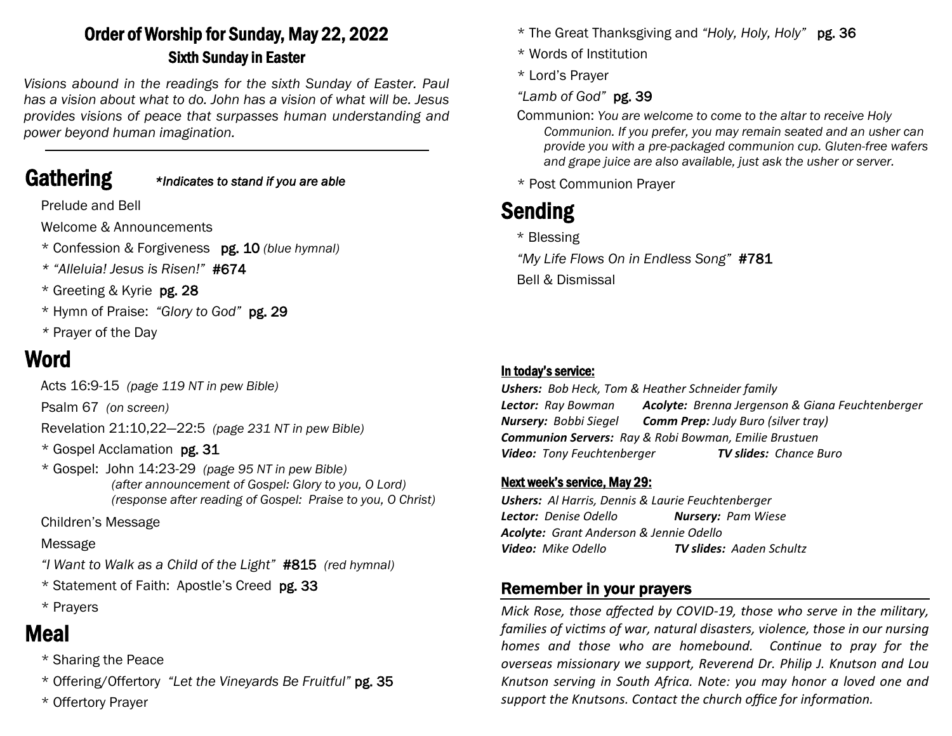# Order of Worship for Sunday, May 22, 2022 Sixth Sunday in Easter

*Visions abound in the readings for the sixth Sunday of Easter. Paul has a vision about what to do. John has a vision of what will be. Jesus provides visions of peace that surpasses human understanding and power beyond human imagination.*

# Gathering *\*Indicates to stand if you are able*

Prelude and Bell

Welcome & Announcements

\* Confession & Forgiveness pg. 10 *(blue hymnal)*

- *\* "Alleluia! Jesus is Risen!"* #674
- \* Greeting & Kyrie pg. 28
- \* Hymn of Praise: *"Glory to God"* pg. 29
- *\** Prayer of the Day

# Word

Acts 16:9-15 *(page 119 NT in pew Bible)* 

Psalm 67 *(on screen)*

Revelation 21:10,22—22:5 *(page 231 NT in pew Bible)*

- \* Gospel Acclamation pg. 31
- \* Gospel: John 14:23-29 *(page 95 NT in pew Bible) (after announcement of Gospel: Glory to you, O Lord) (response after reading of Gospel: Praise to you, O Christ)*

## Children's Message

## Message

- *"I Want to Walk as a Child of the Light"* #815 *(red hymnal)*
- \* Statement of Faith: Apostle's Creed pg. 33
- \* Prayers

# Meal

- \* Sharing the Peace
- \* Offering/Offertory *"Let the Vineyards Be Fruitful"* pg. 35
- \* Offertory Prayer
- \* The Great Thanksgiving and *"Holy, Holy, Holy"* pg. 36
- \* Words of Institution
- \* Lord's Prayer
- *"Lamb of God"* pg. 39
- Communion: *You are welcome to come to the altar to receive Holy Communion. If you prefer, you may remain seated and an usher can provide you with a pre-packaged communion cup. Gluten-free wafers and grape juice are also available, just ask the usher or server.*
- \* Post Communion Prayer

# Sending

- \* Blessing
- *"My Life Flows On in Endless Song"* #781
- Bell & Dismissal

#### In today's service:

*Ushers: Bob Heck, Tom & Heather Schneider family Lector: Ray Bowman Acolyte: Brenna Jergenson & Giana Feuchtenberger Nursery: Bobbi Siegel Comm Prep: Judy Buro (silver tray) Communion Servers: Ray & Robi Bowman, Emilie Brustuen Video: Tony Feuchtenberger TV slides: Chance Buro*

#### Next week's service, May 29:

*Ushers: Al Harris, Dennis & Laurie Feuchtenberger Lector: Denise Odello Nursery: Pam Wiese Acolyte: Grant Anderson & Jennie Odello Video: Mike Odello TV slides: Aaden Schultz*

# Remember in your prayers

*Mick Rose, those affected by COVID-19, those who serve in the military, families of victims of war, natural disasters, violence, those in our nursing homes and those who are homebound. Continue to pray for the overseas missionary we support, Reverend Dr. Philip J. Knutson and Lou Knutson serving in South Africa. Note: you may honor a loved one and support the Knutsons. Contact the church office for information.*